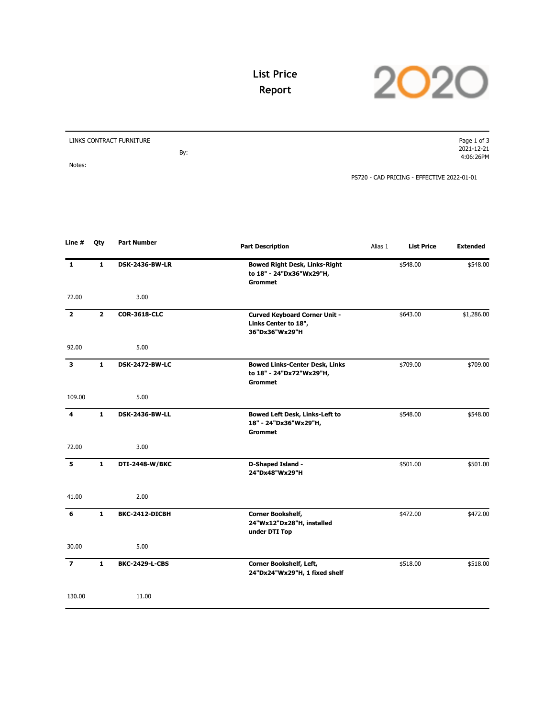**List Price Report**



| LINKS CONTRACT FURNITURE |     | Page 1 of 3                                |
|--------------------------|-----|--------------------------------------------|
|                          |     | 2021-12-21                                 |
|                          | By: | 4:06:26PM                                  |
| Notes:                   |     |                                            |
|                          |     | PS720 - CAD PRICING - EFFECTIVE 2022-01-01 |

| Line #         | Qty            | <b>Part Number</b>    | <b>Part Description</b>                                                             | Alias 1 | <b>List Price</b> | <b>Extended</b> |
|----------------|----------------|-----------------------|-------------------------------------------------------------------------------------|---------|-------------------|-----------------|
| $\mathbf{1}$   | $\mathbf{1}$   | <b>DSK-2436-BW-LR</b> | <b>Bowed Right Desk, Links-Right</b><br>to 18" - 24"Dx36"Wx29"H,<br><b>Grommet</b>  |         | \$548.00          | \$548.00        |
| 72.00          |                | 3.00                  |                                                                                     |         |                   |                 |
| $\overline{2}$ | $\overline{2}$ | <b>COR-3618-CLC</b>   | <b>Curved Keyboard Corner Unit -</b><br>Links Center to 18",<br>36"Dx36"Wx29"H      |         | \$643.00          | \$1,286.00      |
| 92.00          |                | 5.00                  |                                                                                     |         |                   |                 |
| 3              | $\mathbf{1}$   | <b>DSK-2472-BW-LC</b> | <b>Bowed Links-Center Desk, Links</b><br>to 18" - 24"Dx72"Wx29"H,<br><b>Grommet</b> |         | \$709.00          | \$709.00        |
| 109.00         |                | 5.00                  |                                                                                     |         |                   |                 |
| 4              | $\mathbf{1}$   | <b>DSK-2436-BW-LL</b> | Bowed Left Desk, Links-Left to<br>18" - 24"Dx36"Wx29"H,<br><b>Grommet</b>           |         | \$548.00          | \$548.00        |
| 72.00          |                | 3.00                  |                                                                                     |         |                   |                 |
| 5              | $\mathbf{1}$   | DTI-2448-W/BKC        | D-Shaped Island -<br>24"Dx48"Wx29"H                                                 |         | \$501.00          | \$501.00        |
| 41.00          |                | 2.00                  |                                                                                     |         |                   |                 |
| 6              | $\mathbf{1}$   | BKC-2412-DICBH        | Corner Bookshelf,<br>24"Wx12"Dx28"H, installed<br>under DTI Top                     |         | \$472.00          | \$472.00        |
| 30.00          |                | 5.00                  |                                                                                     |         |                   |                 |
| $\overline{ }$ | $\mathbf{1}$   | <b>BKC-2429-L-CBS</b> | Corner Bookshelf, Left,<br>24"Dx24"Wx29"H, 1 fixed shelf                            |         | \$518.00          | \$518.00        |
| 130.00         |                | 11.00                 |                                                                                     |         |                   |                 |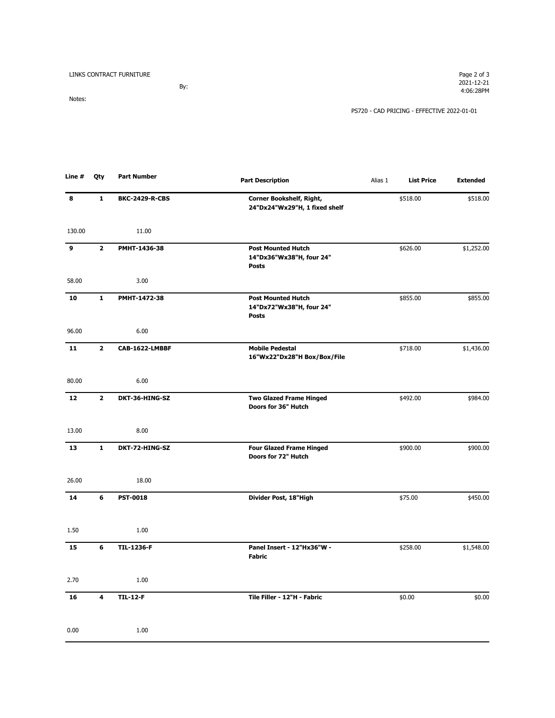| LINKS CONTRACT FURNITURE | Page 2 of 3 |
|--------------------------|-------------|
|--------------------------|-------------|

By: Notes:

PS720 - CAD PRICING - EFFECTIVE 2022-01-01

| Line # | Qty                     | <b>Part Number</b>    | <b>Part Description</b>                                               | Alias 1 | <b>List Price</b> | <b>Extended</b> |
|--------|-------------------------|-----------------------|-----------------------------------------------------------------------|---------|-------------------|-----------------|
| 8      | $\mathbf{1}$            | <b>BKC-2429-R-CBS</b> | Corner Bookshelf, Right,<br>24"Dx24"Wx29"H, 1 fixed shelf             |         | \$518.00          | \$518.00        |
| 130.00 |                         | 11.00                 |                                                                       |         |                   |                 |
| 9      | $\mathbf{2}$            | PMHT-1436-38          | <b>Post Mounted Hutch</b><br>14"Dx36"Wx38"H, four 24"<br><b>Posts</b> |         | \$626.00          | \$1,252.00      |
| 58.00  |                         | 3.00                  |                                                                       |         |                   |                 |
| 10     | 1                       | PMHT-1472-38          | <b>Post Mounted Hutch</b><br>14"Dx72"Wx38"H, four 24"<br><b>Posts</b> |         | \$855.00          | \$855.00        |
| 96.00  |                         | 6.00                  |                                                                       |         |                   |                 |
| 11     | $\mathbf{2}$            | CAB-1622-LMBBF        | <b>Mobile Pedestal</b><br>16"Wx22"Dx28"H Box/Box/File                 |         | \$718.00          | \$1,436.00      |
| 80.00  |                         | 6.00                  |                                                                       |         |                   |                 |
| 12     | $\overline{\mathbf{2}}$ | DKT-36-HING-SZ        | <b>Two Glazed Frame Hinged</b><br>Doors for 36" Hutch                 |         | \$492.00          | \$984.00        |
| 13.00  |                         | 8.00                  |                                                                       |         |                   |                 |
| 13     | $\mathbf{1}$            | DKT-72-HING-SZ        | <b>Four Glazed Frame Hinged</b><br>Doors for 72" Hutch                |         | \$900.00          | \$900.00        |
| 26.00  |                         | 18.00                 |                                                                       |         |                   |                 |
| 14     | 6                       | <b>PST-0018</b>       | Divider Post, 18"High                                                 |         | \$75.00           | \$450.00        |
| 1.50   |                         | 1.00                  |                                                                       |         |                   |                 |
| 15     | 6                       | <b>TIL-1236-F</b>     | Panel Insert - 12"Hx36"W -<br><b>Fabric</b>                           |         | \$258.00          | \$1,548.00      |
| 2.70   |                         | 1.00                  |                                                                       |         |                   |                 |
| 16     | 4                       | <b>TIL-12-F</b>       | Tile Filler - 12"H - Fabric                                           |         | \$0.00            | \$0.00          |
| 0.00   |                         | 1.00                  |                                                                       |         |                   |                 |